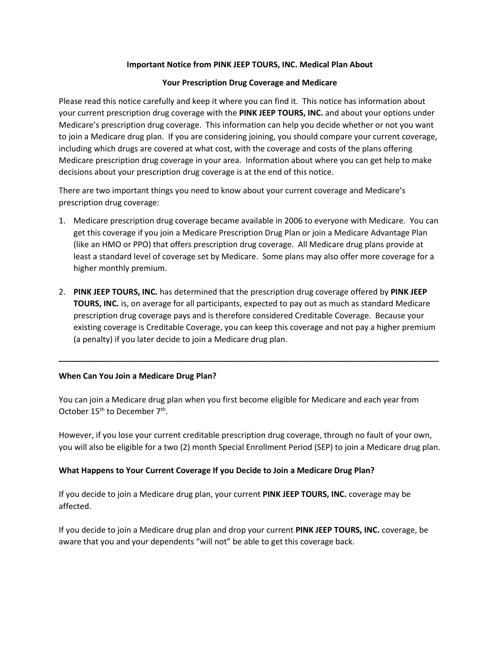## **Important Notice from PINK JEEP TOURS, INC. Medical Plan About**

## **Your Prescription Drug Coverage and Medicare**

Please read this notice carefully and keep it where you can find it. This notice has information about your current prescription drug coverage with the **PINK JEEP TOURS, INC.** and about your options under Medicare's prescription drug coverage. This information can help you decide whether or not you want to join a Medicare drug plan. If you are considering joining, you should compare your current coverage, including which drugs are covered at what cost, with the coverage and costs of the plans offering Medicare prescription drug coverage in your area. Information about where you can get help to make decisions about your prescription drug coverage is at the end of this notice.

There are two important things you need to know about your current coverage and Medicare's prescription drug coverage:

- 1. Medicare prescription drug coverage became available in 2006 to everyone with Medicare. You can get this coverage if you join a Medicare Prescription Drug Plan or join a Medicare Advantage Plan (like an HMO or PPO) that offers prescription drug coverage. All Medicare drug plans provide at least a standard level of coverage set by Medicare. Some plans may also offer more coverage for a higher monthly premium.
- 2. **PINK JEEP TOURS, INC.** has determined that the prescription drug coverage offered by **PINK JEEP TOURS, INC.** is, on average for all participants, expected to pay out as much as standard Medicare prescription drug coverage pays and is therefore considered Creditable Coverage. Because your existing coverage is Creditable Coverage, you can keep this coverage and not pay a higher premium (a penalty) if you later decide to join a Medicare drug plan.

**\_\_\_\_\_\_\_\_\_\_\_\_\_\_\_\_\_\_\_\_\_\_\_\_\_\_\_\_\_\_\_\_\_\_\_\_\_\_\_\_\_\_\_\_\_\_\_\_\_\_\_\_\_\_\_\_\_\_\_\_\_\_\_\_\_\_\_\_\_\_\_\_\_\_\_\_\_\_\_\_\_\_\_\_\_**

## **When Can You Join a Medicare Drug Plan?**

You can join a Medicare drug plan when you first become eligible for Medicare and each year from October  $15^{th}$  to December  $7^{th}$ .

However, if you lose your current creditable prescription drug coverage, through no fault of your own, you will also be eligible for a two (2) month Special Enrollment Period (SEP) to join a Medicare drug plan.

## **What Happens to Your Current Coverage If you Decide to Join a Medicare Drug Plan?**

If you decide to join a Medicare drug plan, your current **PINK JEEP TOURS, INC.** coverage may be affected.

If you decide to join a Medicare drug plan and drop your current **PINK JEEP TOURS, INC.** coverage, be aware that you and your dependents "will not" be able to get this coverage back.